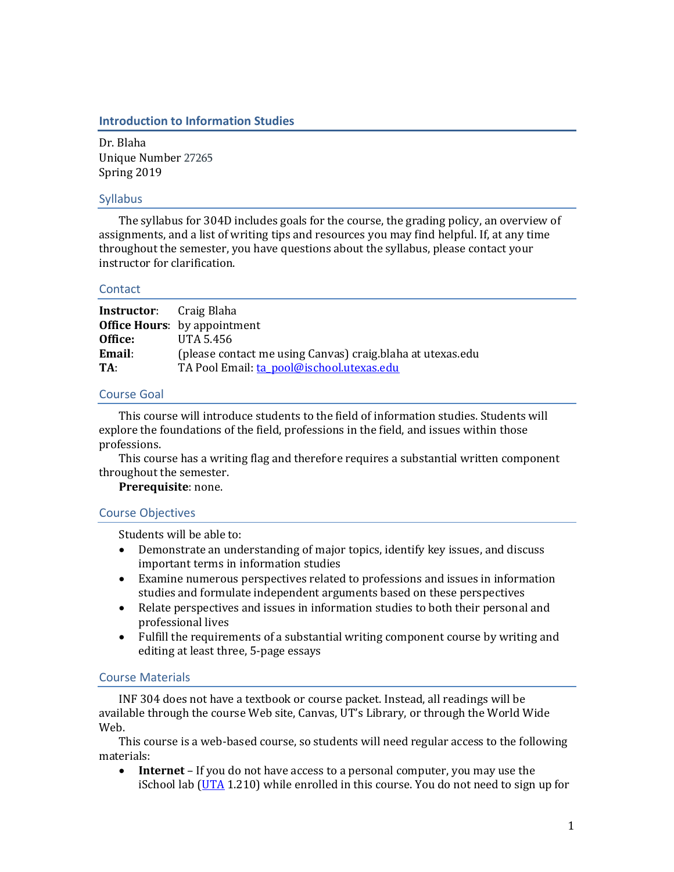### **Introduction to Information Studies**

Dr. Blaha Unique Number 27265 Spring 2019

### Syllabus

The syllabus for 304D includes goals for the course, the grading policy, an overview of assignments, and a list of writing tips and resources you may find helpful. If, at any time throughout the semester, you have questions about the syllabus, please contact your instructor for clarification.

#### **Contact**

| <b>Instructor:</b> Craig Blaha |                                                            |
|--------------------------------|------------------------------------------------------------|
|                                | <b>Office Hours:</b> by appointment                        |
| Office:                        | UTA 5.456                                                  |
| Email:                         | (please contact me using Canvas) craig.blaha at utexas.edu |
| TA:                            | TA Pool Email: ta_pool@ischool.utexas.edu                  |

# Course Goal

This course will introduce students to the field of information studies. Students will explore the foundations of the field, professions in the field, and issues within those professions.

This course has a writing flag and therefore requires a substantial written component throughout the semester.

# **Prerequisite**: none.

# Course Objectives

Students will be able to:

- Demonstrate an understanding of major topics, identify key issues, and discuss important terms in information studies
- Examine numerous perspectives related to professions and issues in information studies and formulate independent arguments based on these perspectives
- Relate perspectives and issues in information studies to both their personal and professional lives
- Fulfill the requirements of a substantial writing component course by writing and editing at least three, 5-page essays

# Course Materials

INF 304 does not have a textbook or course packet. Instead, all readings will be available through the course Web site, Canvas, UT's Library, or through the World Wide Web.

This course is a web-based course, so students will need regular access to the following materials:

• **Internet** – If you do not have access to a personal computer, you may use the iSchool lab [\(UTA](http://www.utexas.edu/maps/main/buildings/uta.html) 1.210) while enrolled in this course. You do not need to sign up for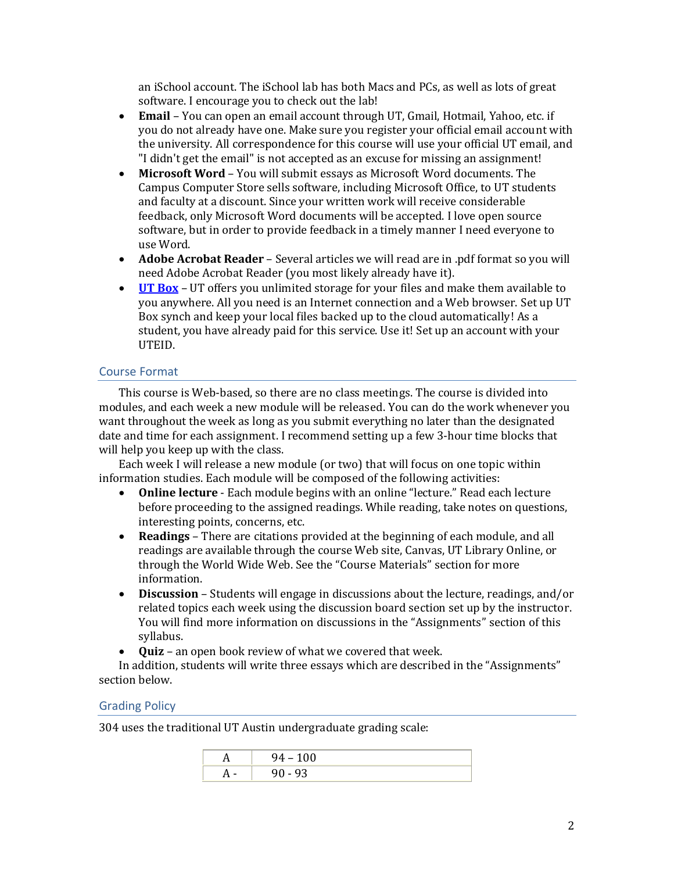an iSchool account. The iSchool lab has both Macs and PCs, as well as lots of great software. I encourage you to check out the lab!

- **Email** You can open an email account through UT, Gmail, Hotmail, Yahoo, etc. if you do not already have one. Make sure you register your official email account with the university. All correspondence for this course will use your official UT email, and "I didn't get the email" is not accepted as an excuse for missing an assignment!
- **Microsoft Word** You will submit essays as Microsoft Word documents. The Campus Computer Store sells software, including Microsoft Office, to UT students and faculty at a discount. Since your written work will receive considerable feedback, only Microsoft Word documents will be accepted. I love open source software, but in order to provide feedback in a timely manner I need everyone to use Word.
- **Adobe Acrobat Reader** Several articles we will read are in .pdf format so you will need Adobe Acrobat Reader (you most likely already have it).
- **[UT Box](http://www.utexas.edu/its/cloudstorage/)** UT offers you unlimited storage for your files and make them available to you anywhere. All you need is an Internet connection and a Web browser. Set up UT Box synch and keep your local files backed up to the cloud automatically! As a student, you have already paid for this service. Use it! Set up an account with your UTEID.

# Course Format

This course is Web-based, so there are no class meetings. The course is divided into modules, and each week a new module will be released. You can do the work whenever you want throughout the week as long as you submit everything no later than the designated date and time for each assignment. I recommend setting up a few 3-hour time blocks that will help you keep up with the class.

Each week I will release a new module (or two) that will focus on one topic within information studies. Each module will be composed of the following activities:

- **Online lecture** Each module begins with an online "lecture." Read each lecture before proceeding to the assigned readings. While reading, take notes on questions, interesting points, concerns, etc.
- **Readings** There are citations provided at the beginning of each module, and all readings are available through the course Web site, Canvas, UT Library Online, or through the World Wide Web. See the "Course Materials" section for more information.
- **Discussion** Students will engage in discussions about the lecture, readings, and/or related topics each week using the discussion board section set up by the instructor. You will find more information on discussions in the "Assignments" section of this syllabus.
- **Quiz**  an open book review of what we covered that week.

In addition, students will write three essays which are described in the "Assignments" section below.

# Grading Policy

304 uses the traditional UT Austin undergraduate grading scale:

| 94           |
|--------------|
| 93<br>$\sim$ |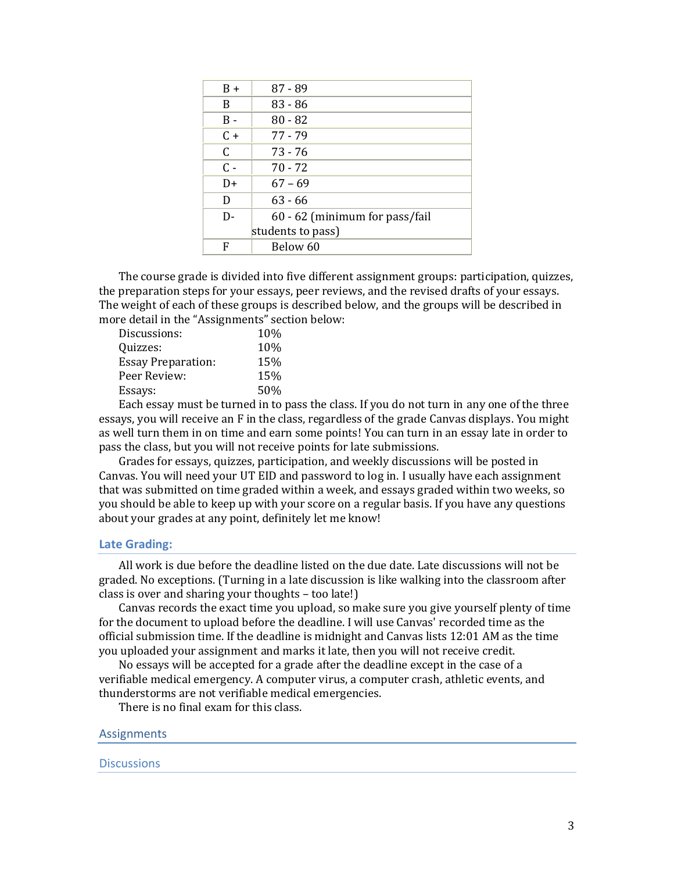| $B +$             | $87 - 89$                      |  |
|-------------------|--------------------------------|--|
| B                 | $83 - 86$                      |  |
| B -               | $80 - 82$                      |  |
| C +               | 77 - 79                        |  |
| C                 | 73 - 76                        |  |
| $C -$             | $70 - 72$                      |  |
| D+                | $67 - 69$                      |  |
| D                 | $63 - 66$                      |  |
| D-                | 60 - 62 (minimum for pass/fail |  |
| students to pass) |                                |  |
| F                 | Below 60                       |  |

The course grade is divided into five different assignment groups: participation, quizzes, the preparation steps for your essays, peer reviews, and the revised drafts of your essays. The weight of each of these groups is described below, and the groups will be described in more detail in the "Assignments" section below:

| Discussions:              | <b>10%</b> |
|---------------------------|------------|
| Ouizzes:                  | 10%        |
| <b>Essay Preparation:</b> | 15%        |
| Peer Review:              | 15%        |
| Essays:                   | 50%        |

Each essay must be turned in to pass the class. If you do not turn in any one of the three essays, you will receive an F in the class, regardless of the grade Canvas displays. You might as well turn them in on time and earn some points! You can turn in an essay late in order to pass the class, but you will not receive points for late submissions.

Grades for essays, quizzes, participation, and weekly discussions will be posted in Canvas. You will need your UT EID and password to log in. I usually have each assignment that was submitted on time graded within a week, and essays graded within two weeks, so you should be able to keep up with your score on a regular basis. If you have any questions about your grades at any point, definitely let me know!

#### **Late Grading:**

All work is due before the deadline listed on the due date. Late discussions will not be graded. No exceptions. (Turning in a late discussion is like walking into the classroom after class is over and sharing your thoughts – too late!)

Canvas records the exact time you upload, so make sure you give yourself plenty of time for the document to upload before the deadline. I will use Canvas' recorded time as the official submission time. If the deadline is midnight and Canvas lists 12:01 AM as the time you uploaded your assignment and marks it late, then you will not receive credit.

No essays will be accepted for a grade after the deadline except in the case of a verifiable medical emergency. A computer virus, a computer crash, athletic events, and thunderstorms are not verifiable medical emergencies.

There is no final exam for this class.

#### Assignments

#### **Discussions**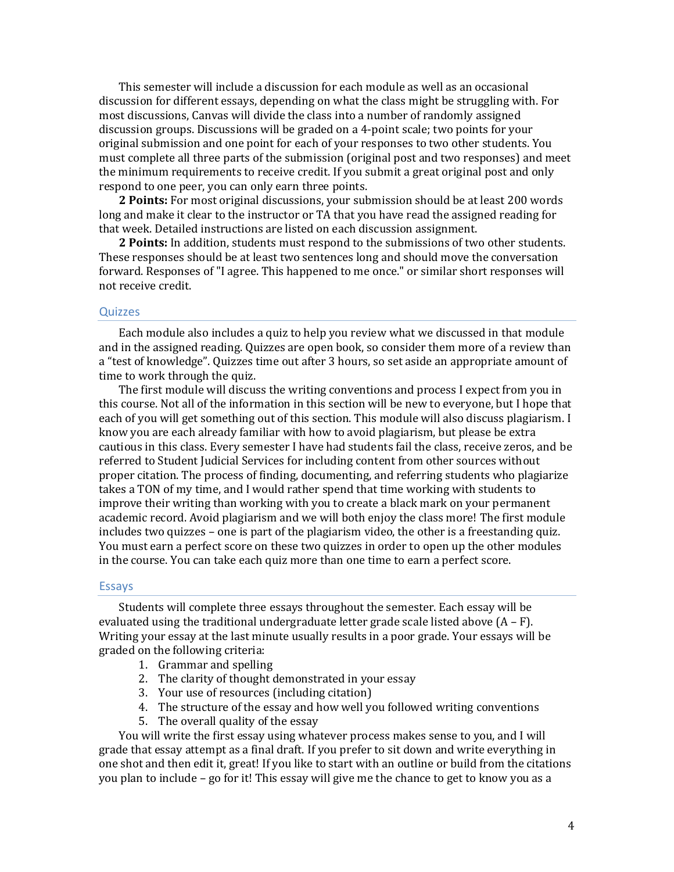This semester will include a discussion for each module as well as an occasional discussion for different essays, depending on what the class might be struggling with. For most discussions, Canvas will divide the class into a number of randomly assigned discussion groups. Discussions will be graded on a 4-point scale; two points for your original submission and one point for each of your responses to two other students. You must complete all three parts of the submission (original post and two responses) and meet the minimum requirements to receive credit. If you submit a great original post and only respond to one peer, you can only earn three points.

**2 Points:** For most original discussions, your submission should be at least 200 words long and make it clear to the instructor or TA that you have read the assigned reading for that week. Detailed instructions are listed on each discussion assignment.

**2 Points:** In addition, students must respond to the submissions of two other students. These responses should be at least two sentences long and should move the conversation forward. Responses of "I agree. This happened to me once." or similar short responses will not receive credit.

#### **Quizzes**

Each module also includes a quiz to help you review what we discussed in that module and in the assigned reading. Quizzes are open book, so consider them more of a review than a "test of knowledge". Quizzes time out after 3 hours, so set aside an appropriate amount of time to work through the quiz.

The first module will discuss the writing conventions and process I expect from you in this course. Not all of the information in this section will be new to everyone, but I hope that each of you will get something out of this section. This module will also discuss plagiarism. I know you are each already familiar with how to avoid plagiarism, but please be extra cautious in this class. Every semester I have had students fail the class, receive zeros, and be referred to Student Judicial Services for including content from other sources without proper citation. The process of finding, documenting, and referring students who plagiarize takes a TON of my time, and I would rather spend that time working with students to improve their writing than working with you to create a black mark on your permanent academic record. Avoid plagiarism and we will both enjoy the class more! The first module includes two quizzes – one is part of the plagiarism video, the other is a freestanding quiz. You must earn a perfect score on these two quizzes in order to open up the other modules in the course. You can take each quiz more than one time to earn a perfect score.

### Essays

Students will complete three essays throughout the semester. Each essay will be evaluated using the traditional undergraduate letter grade scale listed above  $(A - F)$ . Writing your essay at the last minute usually results in a poor grade. Your essays will be graded on the following criteria:

- 1. Grammar and spelling
- 2. The clarity of thought demonstrated in your essay
- 3. Your use of resources (including citation)
- 4. The structure of the essay and how well you followed writing conventions
- 5. The overall quality of the essay

You will write the first essay using whatever process makes sense to you, and I will grade that essay attempt as a final draft. If you prefer to sit down and write everything in one shot and then edit it, great! If you like to start with an outline or build from the citations you plan to include – go for it! This essay will give me the chance to get to know you as a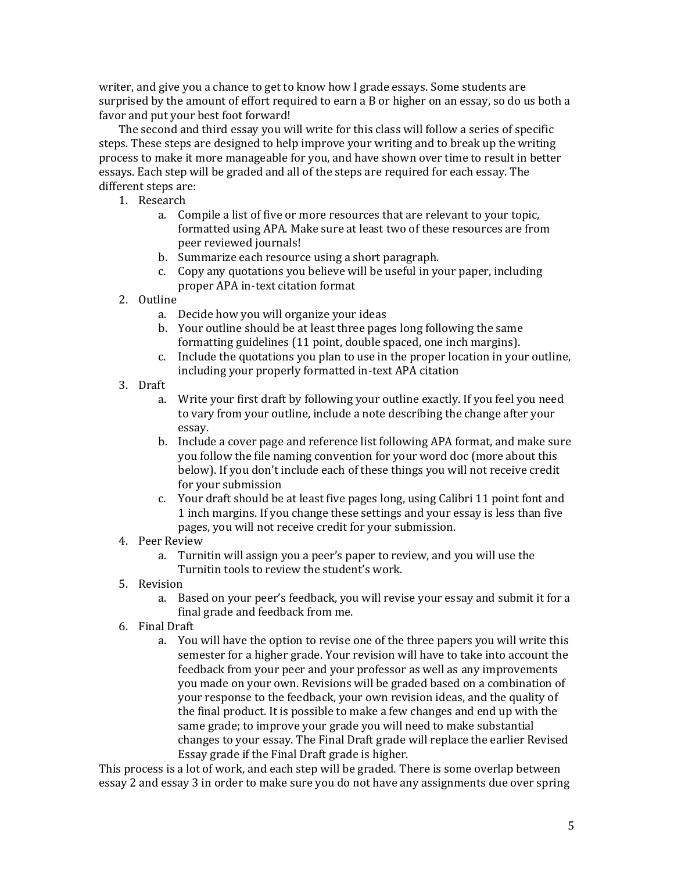writer, and give you a chance to get to know how I grade essays. Some students are surprised by the amount of effort required to earn a B or higher on an essay, so do us both a favor and put your best foot forward!

The second and third essay you will write for this class will follow a series of specific steps. These steps are designed to help improve your writing and to break up the writing process to make it more manageable for you, and have shown over time to result in better essays. Each step will be graded and all of the steps are required for each essay. The different steps are:

- 1. Research
	- a. Compile a list of five or more resources that are relevant to your topic, formatted using APA. Make sure at least two of these resources are from peer reviewed journals!
	- b. Summarize each resource using a short paragraph.
	- c. Copy any quotations you believe will be useful in your paper, including proper APA in-text citation format
- 2. Outline
	- a. Decide how you will organize your ideas
	- b. Your outline should be at least three pages long following the same formatting guidelines (11 point, double spaced, one inch margins).
	- c. Include the quotations you plan to use in the proper location in your outline, including your properly formatted in-text APA citation
- 3. Draft
	- a. Write your first draft by following your outline exactly. If you feel you need to vary from your outline, include a note describing the change after your essay.
	- b. Include a cover page and reference list following APA format, and make sure you follow the file naming convention for your word doc (more about this below). If you don't include each of these things you will not receive credit for your submission
	- c. Your draft should be at least five pages long, using Calibri 11 point font and 1 inch margins. If you change these settings and your essay is less than five pages, you will not receive credit for your submission.
- 4. Peer Review
	- a. Turnitin will assign you a peer's paper to review, and you will use the Turnitin tools to review the student's work.
- 5. Revision
	- a. Based on your peer's feedback, you will revise your essay and submit it for a final grade and feedback from me.
- 6. Final Draft
	- a. You will have the option to revise one of the three papers you will write this semester for a higher grade. Your revision will have to take into account the feedback from your peer and your professor as well as any improvements you made on your own. Revisions will be graded based on a combination of your response to the feedback, your own revision ideas, and the quality of the final product. It is possible to make a few changes and end up with the same grade; to improve your grade you will need to make substantial changes to your essay. The Final Draft grade will replace the earlier Revised Essay grade if the Final Draft grade is higher.

This process is a lot of work, and each step will be graded. There is some overlap between essay 2 and essay 3 in order to make sure you do not have any assignments due over spring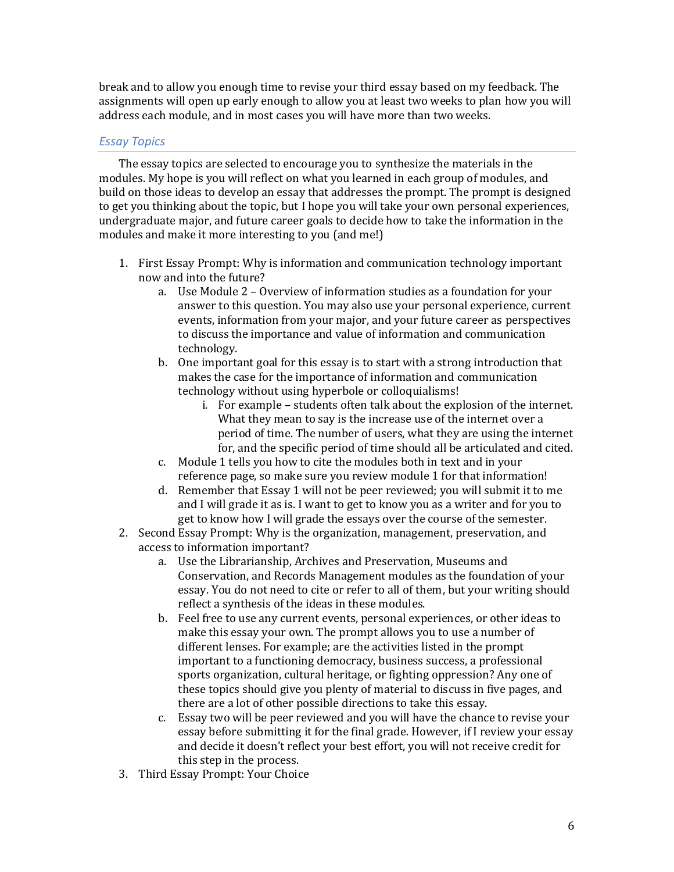break and to allow you enough time to revise your third essay based on my feedback. The assignments will open up early enough to allow you at least two weeks to plan how you will address each module, and in most cases you will have more than two weeks.

# *Essay Topics*

The essay topics are selected to encourage you to synthesize the materials in the modules. My hope is you will reflect on what you learned in each group of modules, and build on those ideas to develop an essay that addresses the prompt. The prompt is designed to get you thinking about the topic, but I hope you will take your own personal experiences, undergraduate major, and future career goals to decide how to take the information in the modules and make it more interesting to you (and me!)

- 1. First Essay Prompt: Why is information and communication technology important now and into the future?
	- a. Use Module 2 Overview of information studies as a foundation for your answer to this question. You may also use your personal experience, current events, information from your major, and your future career as perspectives to discuss the importance and value of information and communication technology.
	- b. One important goal for this essay is to start with a strong introduction that makes the case for the importance of information and communication technology without using hyperbole or colloquialisms!
		- i. For example students often talk about the explosion of the internet. What they mean to say is the increase use of the internet over a period of time. The number of users, what they are using the internet for, and the specific period of time should all be articulated and cited.
	- c. Module 1 tells you how to cite the modules both in text and in your reference page, so make sure you review module 1 for that information!
	- d. Remember that Essay 1 will not be peer reviewed; you will submit it to me and I will grade it as is. I want to get to know you as a writer and for you to get to know how I will grade the essays over the course of the semester.
- 2. Second Essay Prompt: Why is the organization, management, preservation, and access to information important?
	- a. Use the Librarianship, Archives and Preservation, Museums and Conservation, and Records Management modules as the foundation of your essay. You do not need to cite or refer to all of them, but your writing should reflect a synthesis of the ideas in these modules.
	- b. Feel free to use any current events, personal experiences, or other ideas to make this essay your own. The prompt allows you to use a number of different lenses. For example; are the activities listed in the prompt important to a functioning democracy, business success, a professional sports organization, cultural heritage, or fighting oppression? Any one of these topics should give you plenty of material to discuss in five pages, and there are a lot of other possible directions to take this essay.
	- c. Essay two will be peer reviewed and you will have the chance to revise your essay before submitting it for the final grade. However, if I review your essay and decide it doesn't reflect your best effort, you will not receive credit for this step in the process.
- 3. Third Essay Prompt: Your Choice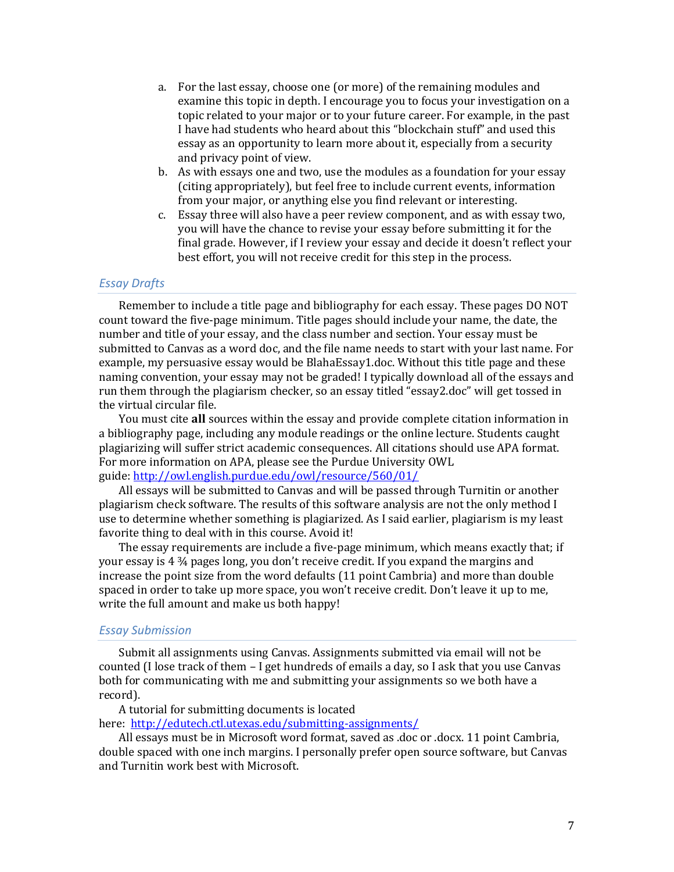- a. For the last essay, choose one (or more) of the remaining modules and examine this topic in depth. I encourage you to focus your investigation on a topic related to your major or to your future career. For example, in the past I have had students who heard about this "blockchain stuff" and used this essay as an opportunity to learn more about it, especially from a security and privacy point of view.
- b. As with essays one and two, use the modules as a foundation for your essay (citing appropriately), but feel free to include current events, information from your major, or anything else you find relevant or interesting.
- c. Essay three will also have a peer review component, and as with essay two, you will have the chance to revise your essay before submitting it for the final grade. However, if I review your essay and decide it doesn't reflect your best effort, you will not receive credit for this step in the process.

### *Essay Drafts*

Remember to include a title page and bibliography for each essay. These pages DO NOT count toward the five-page minimum. Title pages should include your name, the date, the number and title of your essay, and the class number and section. Your essay must be submitted to Canvas as a word doc, and the file name needs to start with your last name. For example, my persuasive essay would be BlahaEssay1.doc. Without this title page and these naming convention, your essay may not be graded! I typically download all of the essays and run them through the plagiarism checker, so an essay titled "essay2.doc" will get tossed in the virtual circular file.

You must cite **all** sources within the essay and provide complete citation information in a bibliography page, including any module readings or the online lecture. Students caught plagiarizing will suffer strict academic consequences. All citations should use APA format. For more information on APA, please see the Purdue University OWL guide: <http://owl.english.purdue.edu/owl/resource/560/01/>

All essays will be submitted to Canvas and will be passed through Turnitin or another plagiarism check software. The results of this software analysis are not the only method I use to determine whether something is plagiarized. As I said earlier, plagiarism is my least favorite thing to deal with in this course. Avoid it!

The essay requirements are include a five-page minimum, which means exactly that; if your essay is 4 ¾ pages long, you don't receive credit. If you expand the margins and increase the point size from the word defaults (11 point Cambria) and more than double spaced in order to take up more space, you won't receive credit. Don't leave it up to me, write the full amount and make us both happy!

#### *Essay Submission*

Submit all assignments using Canvas. Assignments submitted via email will not be counted (I lose track of them – I get hundreds of emails a day, so I ask that you use Canvas both for communicating with me and submitting your assignments so we both have a record).

A tutorial for submitting documents is located here: <http://edutech.ctl.utexas.edu/submitting-assignments/>

All essays must be in Microsoft word format, saved as .doc or .docx. 11 point Cambria, double spaced with one inch margins. I personally prefer open source software, but Canvas and Turnitin work best with Microsoft.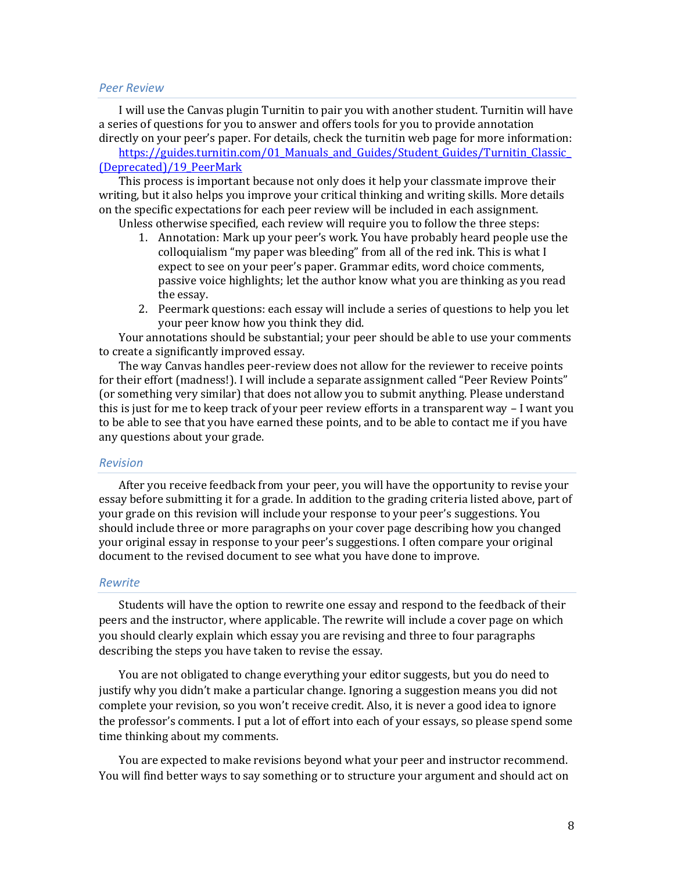#### *Peer Review*

I will use the Canvas plugin Turnitin to pair you with another student. Turnitin will have a series of questions for you to answer and offers tools for you to provide annotation directly on your peer's paper. For details, check the turnitin web page for more information:

https://guides.turnitin.com/01 Manuals\_and\_Guides/Student\_Guides/Turnitin\_Classic [\(Deprecated\)/19\\_PeerMark](https://guides.turnitin.com/01_Manuals_and_Guides/Student_Guides/Turnitin_Classic_(Deprecated)/19_PeerMark)

This process is important because not only does it help your classmate improve their writing, but it also helps you improve your critical thinking and writing skills. More details on the specific expectations for each peer review will be included in each assignment.

Unless otherwise specified, each review will require you to follow the three steps:

- 1. Annotation: Mark up your peer's work. You have probably heard people use the colloquialism "my paper was bleeding" from all of the red ink. This is what I expect to see on your peer's paper. Grammar edits, word choice comments, passive voice highlights; let the author know what you are thinking as you read the essay.
- 2. Peermark questions: each essay will include a series of questions to help you let your peer know how you think they did.

Your annotations should be substantial; your peer should be able to use your comments to create a significantly improved essay.

The way Canvas handles peer-review does not allow for the reviewer to receive points for their effort (madness!). I will include a separate assignment called "Peer Review Points" (or something very similar) that does not allow you to submit anything. Please understand this is just for me to keep track of your peer review efforts in a transparent way – I want you to be able to see that you have earned these points, and to be able to contact me if you have any questions about your grade.

### *Revision*

After you receive feedback from your peer, you will have the opportunity to revise your essay before submitting it for a grade. In addition to the grading criteria listed above, part of your grade on this revision will include your response to your peer's suggestions. You should include three or more paragraphs on your cover page describing how you changed your original essay in response to your peer's suggestions. I often compare your original document to the revised document to see what you have done to improve.

### *Rewrite*

Students will have the option to rewrite one essay and respond to the feedback of their peers and the instructor, where applicable. The rewrite will include a cover page on which you should clearly explain which essay you are revising and three to four paragraphs describing the steps you have taken to revise the essay.

You are not obligated to change everything your editor suggests, but you do need to justify why you didn't make a particular change. Ignoring a suggestion means you did not complete your revision, so you won't receive credit. Also, it is never a good idea to ignore the professor's comments. I put a lot of effort into each of your essays, so please spend some time thinking about my comments.

You are expected to make revisions beyond what your peer and instructor recommend. You will find better ways to say something or to structure your argument and should act on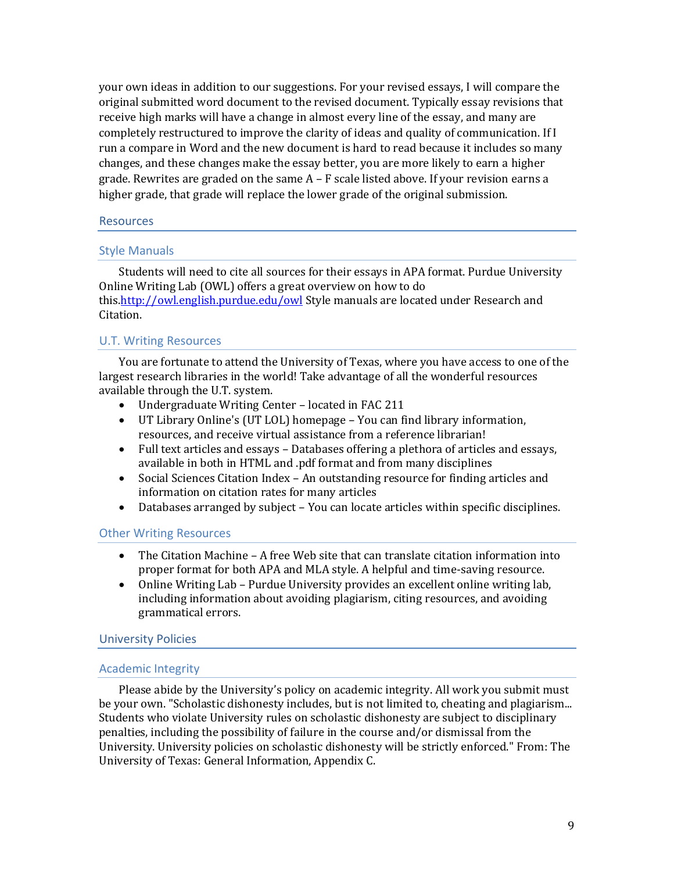your own ideas in addition to our suggestions. For your revised essays, I will compare the original submitted word document to the revised document. Typically essay revisions that receive high marks will have a change in almost every line of the essay, and many are completely restructured to improve the clarity of ideas and quality of communication. If I run a compare in Word and the new document is hard to read because it includes so many changes, and these changes make the essay better, you are more likely to earn a higher grade. Rewrites are graded on the same  $A - F$  scale listed above. If your revision earns a higher grade, that grade will replace the lower grade of the original submission.

### Resources

### Style Manuals

Students will need to cite all sources for their essays in APA format. Purdue University Online Writing Lab (OWL) offers a great overview on how to do this[.http://owl.english.purdue.edu/owl](http://owl.english.purdue.edu/owl) Style manuals are located under Research and Citation.

# U.T. Writing Resources

You are fortunate to attend the University of Texas, where you have access to one of the largest research libraries in the world! Take advantage of all the wonderful resources available through the U.T. system.

- Undergraduate Writing Center located in FAC 211
- UT Library Online's (UT LOL) homepage You can find library information, resources, and receive virtual assistance from a reference librarian!
- Full text articles and essays Databases offering a plethora of articles and essays, available in both in HTML and .pdf format and from many disciplines
- Social Sciences Citation Index An outstanding resource for finding articles and information on citation rates for many articles
- Databases arranged by subject You can locate articles within specific disciplines.

#### Other Writing Resources

- The Citation Machine A free Web site that can translate citation information into proper format for both APA and MLA style. A helpful and time-saving resource.
- Online Writing Lab Purdue University provides an excellent online writing lab, including information about avoiding plagiarism, citing resources, and avoiding grammatical errors.

#### University Policies

#### Academic Integrity

Please abide by the University's policy on academic integrity. All work you submit must be your own. "Scholastic dishonesty includes, but is not limited to, cheating and plagiarism... Students who violate University rules on scholastic dishonesty are subject to disciplinary penalties, including the possibility of failure in the course and/or dismissal from the University. University policies on scholastic dishonesty will be strictly enforced." From: The University of Texas: General Information, Appendix C.